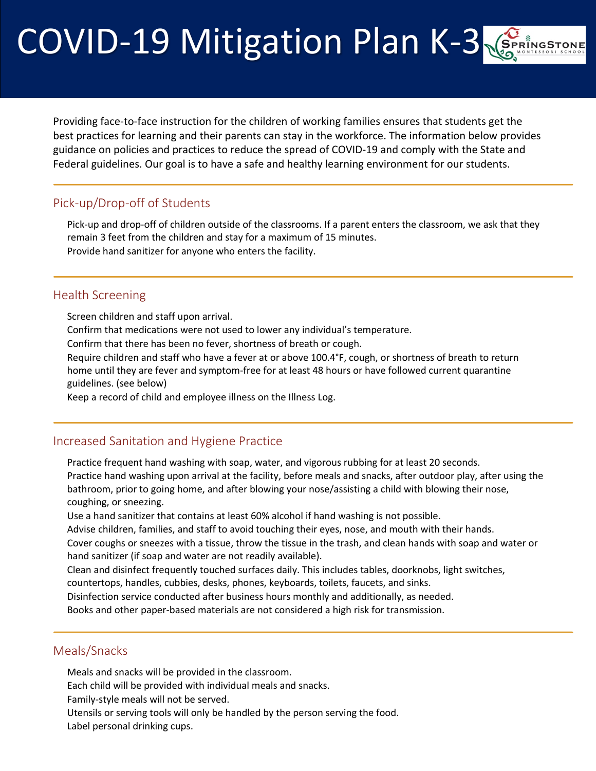# COVID-19 Mitigation Plan K-3

Providing face-to-face instruction for the children of working families ensures that students get the best practices for learning and their parents can stay in the workforce. The information below provides guidance on policies and practices to reduce the spread of COVID-19 and comply with the State and Federal guidelines. Our goal is to have a safe and healthy learning environment for our students.

# Pick-up/Drop-off of Students

 Pick-up and drop-off of children outside of the classrooms. If a parent enters the classroom, we ask that they remain 3 feet from the children and stay for a maximum of 15 minutes. Provide hand sanitizer for anyone who enters the facility.

#### Health Screening

Screen children and staff upon arrival.

Confirm that medications were not used to lower any individual's temperature.

Confirm that there has been no fever, shortness of breath or cough.

 Require children and staff who have a fever at or above 100.4°F, cough, or shortness of breath to return home until they are fever and symptom-free for at least 48 hours or have followed current quarantine guidelines. (see below)

Keep a record of child and employee illness on the Illness Log.

#### Increased Sanitation and Hygiene Practice

Practice frequent hand washing with soap, water, and vigorous rubbing for at least 20 seconds.

 Practice hand washing upon arrival at the facility, before meals and snacks, after outdoor play, after using the bathroom, prior to going home, and after blowing your nose/assisting a child with blowing their nose, coughing, or sneezing.

Use a hand sanitizer that contains at least 60% alcohol if hand washing is not possible.

Advise children, families, and staff to avoid touching their eyes, nose, and mouth with their hands.

 Cover coughs or sneezes with a tissue, throw the tissue in the trash, and clean hands with soap and water or hand sanitizer (if soap and water are not readily available).

Clean and disinfect frequently touched surfaces daily. This includes tables, doorknobs, light switches,

countertops, handles, cubbies, desks, phones, keyboards, toilets, faucets, and sinks.

Disinfection service conducted after business hours monthly and additionally, as needed.

Books and other paper-based materials are not considered a high risk for transmission.

#### Meals/Snacks

Meals and snacks will be provided in the classroom.

Each child will be provided with individual meals and snacks.

Family-style meals will not be served.

Utensils or serving tools will only be handled by the person serving the food.

Label personal drinking cups.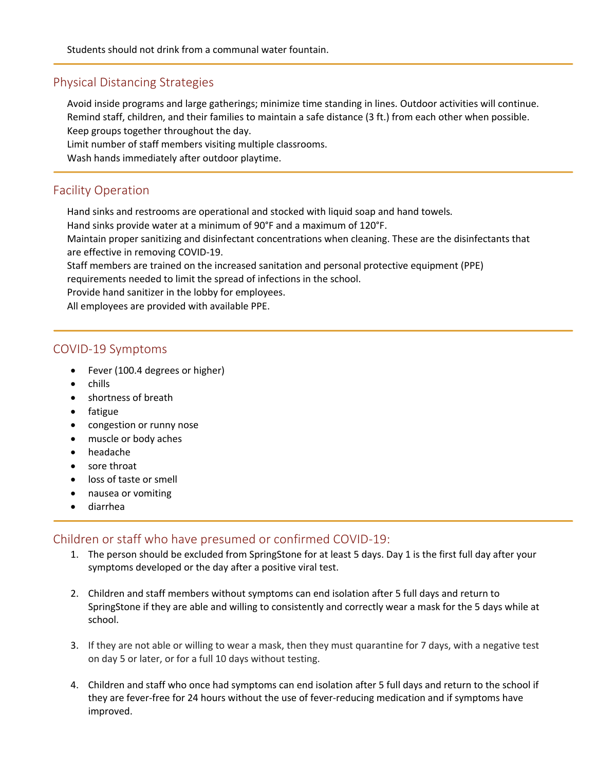#### Physical Distancing Strategies

 Avoid inside programs and large gatherings; minimize time standing in lines. Outdoor activities will continue. Remind staff, children, and their families to maintain a safe distance (3 ft.) from each other when possible. Keep groups together throughout the day.

Limit number of staff members visiting multiple classrooms.

Wash hands immediately after outdoor playtime.

## Facility Operation

Hand sinks and restrooms are operational and stocked with liquid soap and hand towels.

Hand sinks provide water at a minimum of 90°F and a maximum of 120°F.

 Maintain proper sanitizing and disinfectant concentrations when cleaning. These are the disinfectants that are effective in removing COVID-19.

Staff members are trained on the increased sanitation and personal protective equipment (PPE)

requirements needed to limit the spread of infections in the school.

Provide hand sanitizer in the lobby for employees.

All employees are provided with available PPE.

#### COVID-19 Symptoms

- Fever (100.4 degrees or higher)
- chills
- shortness of breath
- fatigue
- congestion or runny nose
- muscle or body aches
- headache
- sore throat
- loss of taste or smell
- nausea or vomiting
- diarrhea

## Children or staff who have presumed or confirmed COVID-19:

- 1. The person should be excluded from SpringStone for at least 5 days. Day 1 is the first full day after your symptoms developed or the day after a positive viral test.
- 2. Children and staff members without symptoms can end isolation after 5 full days and return to SpringStone if they are able and willing to consistently and correctly wear a mask for the 5 days while at school.
- 3. If they are not able or willing to wear a mask, then they must quarantine for 7 days, with a negative test on day 5 or later, or for a full 10 days without testing.
- 4. Children and staff who once had symptoms can end isolation after 5 full days and return to the school if they are fever-free for 24 hours without the use of fever-reducing medication and if symptoms have improved.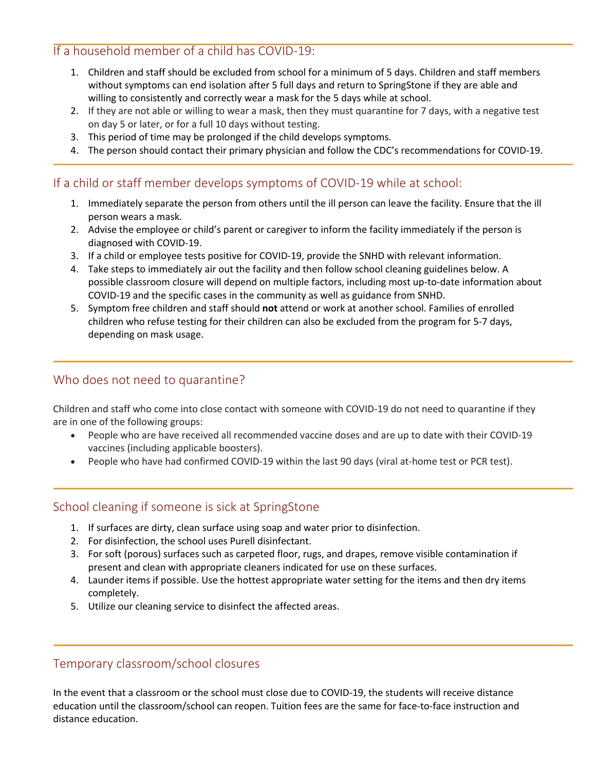## If a household member of a child has COVID-19:

- 1. Children and staff should be excluded from school for a minimum of 5 days. Children and staff members without symptoms can end isolation after 5 full days and return to SpringStone if they are able and willing to consistently and correctly wear a mask for the 5 days while at school.
- 2. If they are not able or willing to wear a mask, then they must quarantine for 7 days, with a negative test on day 5 or later, or for a full 10 days without testing.
- 3. This period of time may be prolonged if the child develops symptoms.
- 4. The person should contact their primary physician and follow the CDC's recommendations for COVID-19.

## If a child or staff member develops symptoms of COVID-19 while at school:

- 1. Immediately separate the person from others until the ill person can leave the facility. Ensure that the ill person wears a mask.
- 2. Advise the employee or child's parent or caregiver to inform the facility immediately if the person is diagnosed with COVID-19.
- 3. If a child or employee tests positive for COVID-19, provide the SNHD with relevant information.
- 4. Take steps to immediately air out the facility and then follow school cleaning guidelines below. A possible classroom closure will depend on multiple factors, including most up-to-date information about COVID-19 and the specific cases in the community as well as guidance from SNHD.
- 5. Symptom free children and staff should **not** attend or work at another school. Families of enrolled children who refuse testing for their children can also be excluded from the program for 5-7 days, depending on mask usage.

# Who does not need to quarantine?

Children and staff who come into close contact with someone with COVID-19 do not need to quarantine if they are in one of the following groups:

- People who are have received all recommended vaccine doses and are up to date with their COVID-19 vaccines (including applicable boosters).
- People who have had confirmed COVID-19 within the last 90 days (viral at-home test or PCR test).

## School cleaning if someone is sick at SpringStone

- 1. If surfaces are dirty, clean surface using soap and water prior to disinfection.
- 2. For disinfection, the school uses Purell disinfectant.
- 3. For soft (porous) surfaces such as carpeted floor, rugs, and drapes, remove visible contamination if present and clean with appropriate cleaners indicated for use on these surfaces.
- 4. Launder items if possible. Use the hottest appropriate water setting for the items and then dry items completely.
- 5. Utilize our cleaning service to disinfect the affected areas.

## Temporary classroom/school closures

In the event that a classroom or the school must close due to COVID-19, the students will receive distance education until the classroom/school can reopen. Tuition fees are the same for face-to-face instruction and distance education.